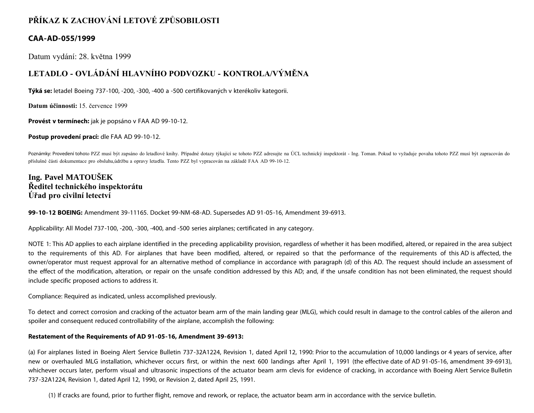# **PŘÍKAZ K ZACHOVÁNÍ LETOVÉ ZPŮSOBILOSTI**

## **CAA-AD-055/1999**

Datum vydání: 28. května 1999

# **LETADLO - OVLÁDÁNÍ HLAVNÍHO PODVOZKU - KONTROLA/VÝMĚNA**

**Týká se:** letadel Boeing 737-100, -200, -300, -400 a -500 certifikovaných v kterékoliv kategorii.

**Datum účinnosti:** 15. července 1999

**Provést v termínech:** jak je popsáno v FAA AD 99-10-12.

**Postup provedení prací:** dle FAA AD 99-10-12.

Poznámky: Provedení tohoto PZZ musí být zapsáno do letadlové knihy. Případné dotazy týkající se tohoto PZZ adresujte na ÚCL technický inspektorát - Ing. Toman. Pokud to vyžaduje povaha tohoto PZZ musí být zapracován do příslušné části dokumentace pro obsluhu,údržbu a opravy letadla. Tento PZZ byl vypracován na základě FAA AD 99-10-12.

## **Ing. Pavel MATOUŠEK Ředitel technického inspektorátu Úřad pro civilní letectví**

**99-10-12 BOEING:** Amendment 39-11165. Docket 99-NM-68-AD. Supersedes AD 91-05-16, Amendment 39-6913.

Applicability: All Model 737-100, -200, -300, -400, and -500 series airplanes; certificated in any category.

NOTE 1: This AD applies to each airplane identified in the preceding applicability provision, regardless of whether it has been modified, altered, or repaired in the area subject to the requirements of this AD. For airplanes that have been modified, altered, or repaired so that the performance of the requirements of this AD is affected, the owner/operator must request approval for an alternative method of compliance in accordance with paragraph (d) of this AD. The request should include an assessment of the effect of the modification, alteration, or repair on the unsafe condition addressed by this AD; and, if the unsafe condition has not been eliminated, the request should include specific proposed actions to address it.

Compliance: Required as indicated, unless accomplished previously.

To detect and correct corrosion and cracking of the actuator beam arm of the main landing gear (MLG), which could result in damage to the control cables of the aileron and spoiler and consequent reduced controllability of the airplane, accomplish the following:

### **Restatement of the Requirements of AD 91-05-16, Amendment 39-6913:**

(a) For airplanes listed in Boeing Alert Service Bulletin 737-32A1224, Revision 1, dated April 12, 1990: Prior to the accumulation of 10,000 landings or 4 years of service, after new or overhauled MLG installation, whichever occurs first, or within the next 600 landings after April 1, 1991 (the effective date of AD 91-05-16, amendment 39-6913), whichever occurs later, perform visual and ultrasonic inspections of the actuator beam arm clevis for evidence of cracking, in accordance with Boeing Alert Service Bulletin 737-32A1224, Revision 1, dated April 12, 1990, or Revision 2, dated April 25, 1991.

(1) If cracks are found, prior to further flight, remove and rework, or replace, the actuator beam arm in accordance with the service bulletin.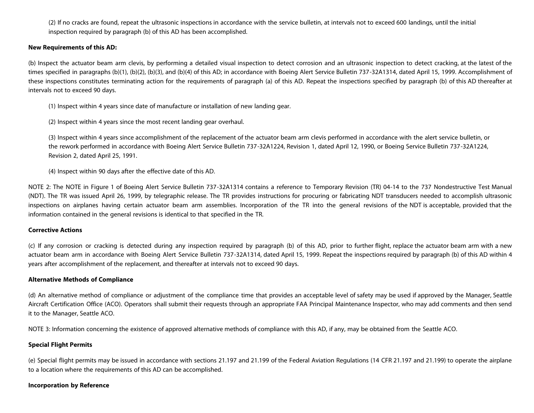(2) If no cracks are found, repeat the ultrasonic inspections in accordance with the service bulletin, at intervals not to exceed 600 landings, until the initial inspection required by paragraph (b) of this AD has been accomplished.

#### **New Requirements of this AD:**

(b) Inspect the actuator beam arm clevis, by performing a detailed visual inspection to detect corrosion and an ultrasonic inspection to detect cracking, at the latest of the times specified in paragraphs (b)(1), (b)(2), (b)(3), and (b)(4) of this AD; in accordance with Boeing Alert Service Bulletin 737-32A1314, dated April 15, 1999. Accomplishment of these inspections constitutes terminating action for the requirements of paragraph (a) of this AD. Repeat the inspections specified by paragraph (b) of this AD thereafter at intervals not to exceed 90 days.

(1) Inspect within 4 years since date of manufacture or installation of new landing gear.

(2) Inspect within 4 years since the most recent landing gear overhaul.

(3) Inspect within 4 years since accomplishment of the replacement of the actuator beam arm clevis performed in accordance with the alert service bulletin, or the rework performed in accordance with Boeing Alert Service Bulletin 737-32A1224, Revision 1, dated April 12, 1990, or Boeing Service Bulletin 737-32A1224, Revision 2, dated April 25, 1991.

(4) Inspect within 90 days after the effective date of this AD.

NOTE 2: The NOTE in Figure 1 of Boeing Alert Service Bulletin 737-32A1314 contains a reference to Temporary Revision (TR) 04-14 to the 737 Nondestructive Test Manual (NDT). The TR was issued April 26, 1999, by telegraphic release. The TR provides instructions for procuring or fabricating NDT transducers needed to accomplish ultrasonic inspections on airplanes having certain actuator beam arm assemblies. Incorporation of the TR into the general revisions of the NDT is acceptable, provided that the information contained in the general revisions is identical to that specified in the TR.

#### **Corrective Actions**

(c) If any corrosion or cracking is detected during any inspection required by paragraph (b) of this AD, prior to further flight, replace the actuator beam arm with a new actuator beam arm in accordance with Boeing Alert Service Bulletin 737-32A1314, dated April 15, 1999. Repeat the inspections required by paragraph (b) of this AD within 4 years after accomplishment of the replacement, and thereafter at intervals not to exceed 90 days.

#### **Alternative Methods of Compliance**

(d) An alternative method of compliance or adjustment of the compliance time that provides an acceptable level of safety may be used if approved by the Manager, Seattle Aircraft Certification Office (ACO). Operators shall submit their requests through an appropriate FAA Principal Maintenance Inspector, who may add comments and then send it to the Manager, Seattle ACO.

NOTE 3: Information concerning the existence of approved alternative methods of compliance with this AD, if any, may be obtained from the Seattle ACO.

#### **Special Flight Permits**

(e) Special flight permits may be issued in accordance with sections 21.197 and 21.199 of the Federal Aviation Regulations (14 CFR 21.197 and 21.199) to operate the airplane to a location where the requirements of this AD can be accomplished.

#### **Incorporation by Reference**